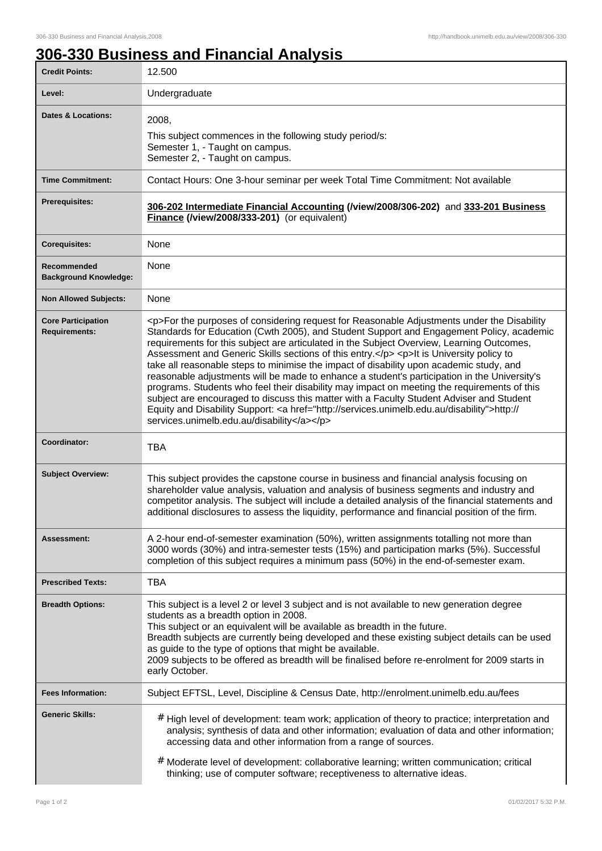## **306-330 Business and Financial Analysis**

| <b>Credit Points:</b>                             | 12.500                                                                                                                                                                                                                                                                                                                                                                                                                                                                                                                                                                                                                                                                                                                                                                                                                                                                                                                       |
|---------------------------------------------------|------------------------------------------------------------------------------------------------------------------------------------------------------------------------------------------------------------------------------------------------------------------------------------------------------------------------------------------------------------------------------------------------------------------------------------------------------------------------------------------------------------------------------------------------------------------------------------------------------------------------------------------------------------------------------------------------------------------------------------------------------------------------------------------------------------------------------------------------------------------------------------------------------------------------------|
| Level:                                            | Undergraduate                                                                                                                                                                                                                                                                                                                                                                                                                                                                                                                                                                                                                                                                                                                                                                                                                                                                                                                |
| <b>Dates &amp; Locations:</b>                     | 2008,                                                                                                                                                                                                                                                                                                                                                                                                                                                                                                                                                                                                                                                                                                                                                                                                                                                                                                                        |
|                                                   | This subject commences in the following study period/s:<br>Semester 1, - Taught on campus.                                                                                                                                                                                                                                                                                                                                                                                                                                                                                                                                                                                                                                                                                                                                                                                                                                   |
|                                                   | Semester 2, - Taught on campus.                                                                                                                                                                                                                                                                                                                                                                                                                                                                                                                                                                                                                                                                                                                                                                                                                                                                                              |
| <b>Time Commitment:</b>                           | Contact Hours: One 3-hour seminar per week Total Time Commitment: Not available                                                                                                                                                                                                                                                                                                                                                                                                                                                                                                                                                                                                                                                                                                                                                                                                                                              |
| <b>Prerequisites:</b>                             | 306-202 Intermediate Financial Accounting (/view/2008/306-202) and 333-201 Business<br>Finance (/view/2008/333-201) (or equivalent)                                                                                                                                                                                                                                                                                                                                                                                                                                                                                                                                                                                                                                                                                                                                                                                          |
| <b>Corequisites:</b>                              | None                                                                                                                                                                                                                                                                                                                                                                                                                                                                                                                                                                                                                                                                                                                                                                                                                                                                                                                         |
| Recommended<br><b>Background Knowledge:</b>       | None                                                                                                                                                                                                                                                                                                                                                                                                                                                                                                                                                                                                                                                                                                                                                                                                                                                                                                                         |
| <b>Non Allowed Subjects:</b>                      | None                                                                                                                                                                                                                                                                                                                                                                                                                                                                                                                                                                                                                                                                                                                                                                                                                                                                                                                         |
| <b>Core Participation</b><br><b>Requirements:</b> | <p>For the purposes of considering request for Reasonable Adjustments under the Disability<br/>Standards for Education (Cwth 2005), and Student Support and Engagement Policy, academic<br/>requirements for this subject are articulated in the Subject Overview, Learning Outcomes,<br/>Assessment and Generic Skills sections of this entry.</p> <p>lt is University policy to<br/>take all reasonable steps to minimise the impact of disability upon academic study, and<br/>reasonable adjustments will be made to enhance a student's participation in the University's<br/>programs. Students who feel their disability may impact on meeting the requirements of this<br/>subject are encouraged to discuss this matter with a Faculty Student Adviser and Student<br/>Equity and Disability Support: &lt; a href="http://services.unimelb.edu.au/disability"&gt;http://<br/>services.unimelb.edu.au/disability</p> |
| Coordinator:                                      | <b>TBA</b>                                                                                                                                                                                                                                                                                                                                                                                                                                                                                                                                                                                                                                                                                                                                                                                                                                                                                                                   |
| <b>Subject Overview:</b>                          | This subject provides the capstone course in business and financial analysis focusing on<br>shareholder value analysis, valuation and analysis of business segments and industry and<br>competitor analysis. The subject will include a detailed analysis of the financial statements and<br>additional disclosures to assess the liquidity, performance and financial position of the firm.                                                                                                                                                                                                                                                                                                                                                                                                                                                                                                                                 |
| Assessment:                                       | A 2-hour end-of-semester examination (50%), written assignments totalling not more than<br>3000 words (30%) and intra-semester tests (15%) and participation marks (5%). Successful<br>completion of this subject requires a minimum pass (50%) in the end-of-semester exam.                                                                                                                                                                                                                                                                                                                                                                                                                                                                                                                                                                                                                                                 |
| <b>Prescribed Texts:</b>                          | <b>TBA</b>                                                                                                                                                                                                                                                                                                                                                                                                                                                                                                                                                                                                                                                                                                                                                                                                                                                                                                                   |
| <b>Breadth Options:</b>                           | This subject is a level 2 or level 3 subject and is not available to new generation degree<br>students as a breadth option in 2008.<br>This subject or an equivalent will be available as breadth in the future.<br>Breadth subjects are currently being developed and these existing subject details can be used<br>as guide to the type of options that might be available.<br>2009 subjects to be offered as breadth will be finalised before re-enrolment for 2009 starts in<br>early October.                                                                                                                                                                                                                                                                                                                                                                                                                           |
| <b>Fees Information:</b>                          | Subject EFTSL, Level, Discipline & Census Date, http://enrolment.unimelb.edu.au/fees                                                                                                                                                                                                                                                                                                                                                                                                                                                                                                                                                                                                                                                                                                                                                                                                                                         |
| <b>Generic Skills:</b>                            | # High level of development: team work; application of theory to practice; interpretation and<br>analysis; synthesis of data and other information; evaluation of data and other information;<br>accessing data and other information from a range of sources.<br># Moderate level of development: collaborative learning; written communication; critical<br>thinking; use of computer software; receptiveness to alternative ideas.                                                                                                                                                                                                                                                                                                                                                                                                                                                                                        |
|                                                   |                                                                                                                                                                                                                                                                                                                                                                                                                                                                                                                                                                                                                                                                                                                                                                                                                                                                                                                              |